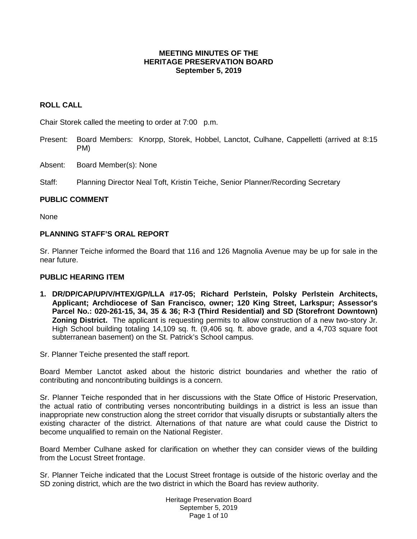#### **MEETING MINUTES OF THE HERITAGE PRESERVATION BOARD September 5, 2019**

# **ROLL CALL**

Chair Storek called the meeting to order at 7:00 p.m.

- Present: Board Members: Knorpp, Storek, Hobbel, Lanctot, Culhane, Cappelletti (arrived at 8:15 PM)
- Absent: Board Member(s): None

Staff: Planning Director Neal Toft, Kristin Teiche, Senior Planner/Recording Secretary

#### **PUBLIC COMMENT**

None

# **PLANNING STAFF'S ORAL REPORT**

Sr. Planner Teiche informed the Board that 116 and 126 Magnolia Avenue may be up for sale in the near future.

#### **PUBLIC HEARING ITEM**

**1. DR/DP/CAP/UP/V/HTEX/GP/LLA #17-05; Richard Perlstein, Polsky Perlstein Architects, Applicant; Archdiocese of San Francisco, owner; 120 King Street, Larkspur; Assessor's Parcel No.: 020-261-15, 34, 35 & 36; R-3 (Third Residential) and SD (Storefront Downtown) Zoning District.** The applicant is requesting permits to allow construction of a new two-story Jr. High School building totaling 14,109 sq. ft. (9,406 sq. ft. above grade, and a 4,703 square foot subterranean basement) on the St. Patrick's School campus.

Sr. Planner Teiche presented the staff report.

Board Member Lanctot asked about the historic district boundaries and whether the ratio of contributing and noncontributing buildings is a concern.

Sr. Planner Teiche responded that in her discussions with the State Office of Historic Preservation, the actual ratio of contributing verses noncontributing buildings in a district is less an issue than inappropriate new construction along the street corridor that visually disrupts or substantially alters the existing character of the district. Alternations of that nature are what could cause the District to become unqualified to remain on the National Register.

Board Member Culhane asked for clarification on whether they can consider views of the building from the Locust Street frontage.

Sr. Planner Teiche indicated that the Locust Street frontage is outside of the historic overlay and the SD zoning district, which are the two district in which the Board has review authority.

> Heritage Preservation Board September 5, 2019 Page 1 of 10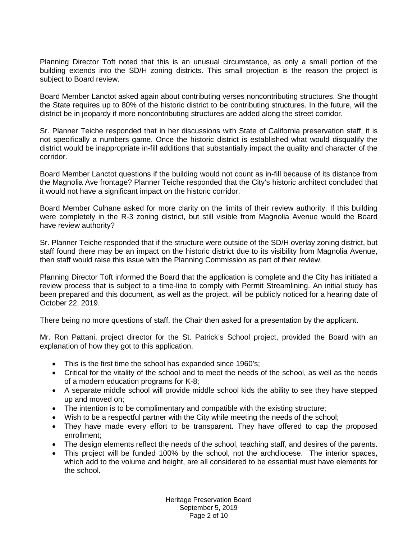Planning Director Toft noted that this is an unusual circumstance, as only a small portion of the building extends into the SD/H zoning districts. This small projection is the reason the project is subject to Board review.

Board Member Lanctot asked again about contributing verses noncontributing structures. She thought the State requires up to 80% of the historic district to be contributing structures. In the future, will the district be in jeopardy if more noncontributing structures are added along the street corridor.

Sr. Planner Teiche responded that in her discussions with State of California preservation staff, it is not specifically a numbers game. Once the historic district is established what would disqualify the district would be inappropriate in-fill additions that substantially impact the quality and character of the corridor.

Board Member Lanctot questions if the building would not count as in-fill because of its distance from the Magnolia Ave frontage? Planner Teiche responded that the City's historic architect concluded that it would not have a significant impact on the historic corridor.

Board Member Culhane asked for more clarity on the limits of their review authority. If this building were completely in the R-3 zoning district, but still visible from Magnolia Avenue would the Board have review authority?

Sr. Planner Teiche responded that if the structure were outside of the SD/H overlay zoning district, but staff found there may be an impact on the historic district due to its visibility from Magnolia Avenue, then staff would raise this issue with the Planning Commission as part of their review.

Planning Director Toft informed the Board that the application is complete and the City has initiated a review process that is subject to a time-line to comply with Permit Streamlining. An initial study has been prepared and this document, as well as the project, will be publicly noticed for a hearing date of October 22, 2019.

There being no more questions of staff, the Chair then asked for a presentation by the applicant.

Mr. Ron Pattani, project director for the St. Patrick's School project, provided the Board with an explanation of how they got to this application.

- This is the first time the school has expanded since 1960's;
- Critical for the vitality of the school and to meet the needs of the school, as well as the needs of a modern education programs for K-8;
- A separate middle school will provide middle school kids the ability to see they have stepped up and moved on;
- The intention is to be complimentary and compatible with the existing structure;
- Wish to be a respectful partner with the City while meeting the needs of the school;
- They have made every effort to be transparent. They have offered to cap the proposed enrollment;
- The design elements reflect the needs of the school, teaching staff, and desires of the parents.
- This project will be funded 100% by the school, not the archdiocese. The interior spaces, which add to the volume and height, are all considered to be essential must have elements for the school.

Heritage Preservation Board September 5, 2019 Page 2 of 10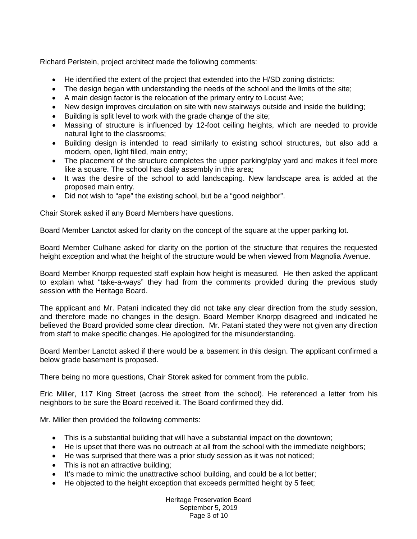Richard Perlstein, project architect made the following comments:

- He identified the extent of the project that extended into the H/SD zoning districts:
- The design began with understanding the needs of the school and the limits of the site;
- A main design factor is the relocation of the primary entry to Locust Ave;
- New design improves circulation on site with new stairways outside and inside the building;
- Building is split level to work with the grade change of the site;
- Massing of structure is influenced by 12-foot ceiling heights, which are needed to provide natural light to the classrooms;
- Building design is intended to read similarly to existing school structures, but also add a modern, open, light filled, main entry;
- The placement of the structure completes the upper parking/play yard and makes it feel more like a square. The school has daily assembly in this area;
- It was the desire of the school to add landscaping. New landscape area is added at the proposed main entry.
- Did not wish to "ape" the existing school, but be a "good neighbor".

Chair Storek asked if any Board Members have questions.

Board Member Lanctot asked for clarity on the concept of the square at the upper parking lot.

Board Member Culhane asked for clarity on the portion of the structure that requires the requested height exception and what the height of the structure would be when viewed from Magnolia Avenue.

Board Member Knorpp requested staff explain how height is measured. He then asked the applicant to explain what "take-a-ways" they had from the comments provided during the previous study session with the Heritage Board.

The applicant and Mr. Patani indicated they did not take any clear direction from the study session, and therefore made no changes in the design. Board Member Knorpp disagreed and indicated he believed the Board provided some clear direction. Mr. Patani stated they were not given any direction from staff to make specific changes. He apologized for the misunderstanding.

Board Member Lanctot asked if there would be a basement in this design. The applicant confirmed a below grade basement is proposed.

There being no more questions, Chair Storek asked for comment from the public.

Eric Miller, 117 King Street (across the street from the school). He referenced a letter from his neighbors to be sure the Board received it. The Board confirmed they did.

Mr. Miller then provided the following comments:

- This is a substantial building that will have a substantial impact on the downtown;
- He is upset that there was no outreach at all from the school with the immediate neighbors;
- He was surprised that there was a prior study session as it was not noticed;
- This is not an attractive building:
- It's made to mimic the unattractive school building, and could be a lot better;
- He objected to the height exception that exceeds permitted height by 5 feet;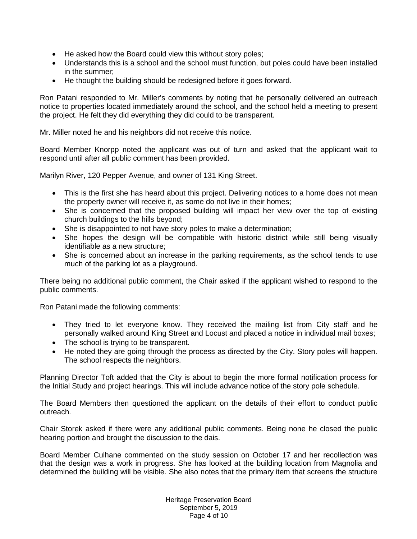- He asked how the Board could view this without story poles;
- Understands this is a school and the school must function, but poles could have been installed in the summer;
- He thought the building should be redesigned before it goes forward.

Ron Patani responded to Mr. Miller's comments by noting that he personally delivered an outreach notice to properties located immediately around the school, and the school held a meeting to present the project. He felt they did everything they did could to be transparent.

Mr. Miller noted he and his neighbors did not receive this notice.

Board Member Knorpp noted the applicant was out of turn and asked that the applicant wait to respond until after all public comment has been provided.

Marilyn River, 120 Pepper Avenue, and owner of 131 King Street.

- This is the first she has heard about this project. Delivering notices to a home does not mean the property owner will receive it, as some do not live in their homes;
- She is concerned that the proposed building will impact her view over the top of existing church buildings to the hills beyond;
- She is disappointed to not have story poles to make a determination;
- She hopes the design will be compatible with historic district while still being visually identifiable as a new structure;
- She is concerned about an increase in the parking requirements, as the school tends to use much of the parking lot as a playground.

There being no additional public comment, the Chair asked if the applicant wished to respond to the public comments.

Ron Patani made the following comments:

- They tried to let everyone know. They received the mailing list from City staff and he personally walked around King Street and Locust and placed a notice in individual mail boxes;
- The school is trying to be transparent.
- He noted they are going through the process as directed by the City. Story poles will happen. The school respects the neighbors.

Planning Director Toft added that the City is about to begin the more formal notification process for the Initial Study and project hearings. This will include advance notice of the story pole schedule.

The Board Members then questioned the applicant on the details of their effort to conduct public outreach.

Chair Storek asked if there were any additional public comments. Being none he closed the public hearing portion and brought the discussion to the dais.

Board Member Culhane commented on the study session on October 17 and her recollection was that the design was a work in progress. She has looked at the building location from Magnolia and determined the building will be visible. She also notes that the primary item that screens the structure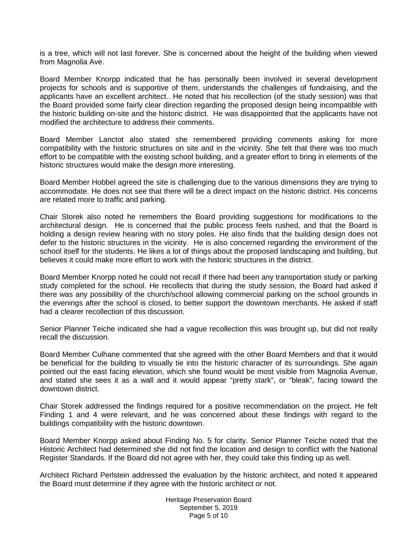is a tree, which will not last forever. She is concerned about the height of the building when viewed from Magnolia Ave.

Board Member Knorpp indicated that he has personally been involved in several development projects for schools and is supportive of them, understands the challenges of fundraising, and the applicants have an excellent architect.. He noted that his recollection (of the study session) was that the Board provided some fairly clear direction regarding the proposed design being incompatible with the historic building on-site and the historic district. He was disappointed that the applicants have not modified the architecture to address their comments.

Board Member Lanctot also stated she remembered providing comments asking for more compatibility with the historic structures on site and in the vicinity. She felt that there was too much effort to be compatible with the existing school building, and a greater effort to bring in elements of the historic structures would make the design more interesting.

Board Member Hobbel agreed the site is challenging due to the various dimensions they are trying to accommodate. He does not see that there will be a direct impact on the historic district. His concerns are related more to traffic and parking.

Chair Storek also noted he remembers the Board providing suggestions for modifications to the architectural design. He is concerned that the public process feels rushed, and that the Board is holding a design review hearing with no story poles. He also finds that the building design does not defer to the historic structures in the vicinity. He is also concerned regarding the environment of the school itself for the students. He likes a lot of things about the proposed landscaping and building, but believes it could make more effort to work with the historic structures in the district.

Board Member Knorpp noted he could not recall if there had been any transportation study or parking study completed for the school. He recollects that during the study session, the Board had asked if there was any possibility of the church/school allowing commercial parking on the school grounds in the evenings after the school is closed, to better support the downtown merchants. He asked if staff had a clearer recollection of this discussion.

Senior Planner Teiche indicated she had a vague recollection this was brought up, but did not really recall the discussion.

Board Member Culhane commented that she agreed with the other Board Members and that it would be beneficial for the building to visually tie into the historic character of its surroundings. She again pointed out the east facing elevation, which she found would be most visible from Magnolia Avenue, and stated she sees it as a wall and it would appear "pretty stark", or "bleak", facing toward the downtown district.

Chair Storek addressed the findings required for a positive recommendation on the project. He felt Finding 1 and 4 were relevant, and he was concerned about these findings with regard to the buildings compatibility with the historic downtown.

Board Member Knorpp asked about Finding No. 5 for clarity. Senior Planner Teiche noted that the Historic Architect had determined she did not find the location and design to conflict with the National Register Standards. If the Board did not agree with her, they could take this finding up as well.

Architect Richard Perlstein addressed the evaluation by the historic architect, and noted it appeared the Board must determine if they agree with the historic architect or not.

> Heritage Preservation Board September 5, 2019 Page 5 of 10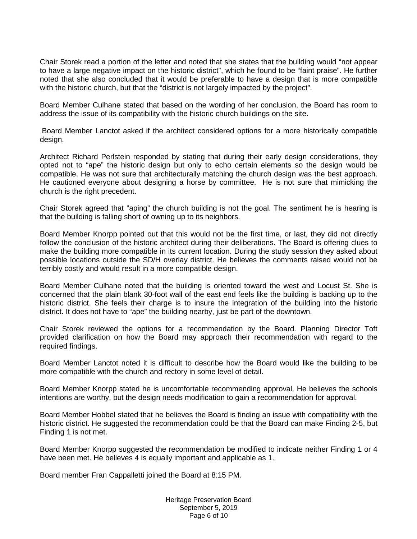Chair Storek read a portion of the letter and noted that she states that the building would "not appear to have a large negative impact on the historic district", which he found to be "faint praise". He further noted that she also concluded that it would be preferable to have a design that is more compatible with the historic church, but that the "district is not largely impacted by the project".

Board Member Culhane stated that based on the wording of her conclusion, the Board has room to address the issue of its compatibility with the historic church buildings on the site.

Board Member Lanctot asked if the architect considered options for a more historically compatible design.

Architect Richard Perlstein responded by stating that during their early design considerations, they opted not to "ape" the historic design but only to echo certain elements so the design would be compatible. He was not sure that architecturally matching the church design was the best approach. He cautioned everyone about designing a horse by committee. He is not sure that mimicking the church is the right precedent.

Chair Storek agreed that "aping" the church building is not the goal. The sentiment he is hearing is that the building is falling short of owning up to its neighbors.

Board Member Knorpp pointed out that this would not be the first time, or last, they did not directly follow the conclusion of the historic architect during their deliberations. The Board is offering clues to make the building more compatible in its current location. During the study session they asked about possible locations outside the SD/H overlay district. He believes the comments raised would not be terribly costly and would result in a more compatible design.

Board Member Culhane noted that the building is oriented toward the west and Locust St. She is concerned that the plain blank 30-foot wall of the east end feels like the building is backing up to the historic district. She feels their charge is to insure the integration of the building into the historic district. It does not have to "ape" the building nearby, just be part of the downtown.

Chair Storek reviewed the options for a recommendation by the Board. Planning Director Toft provided clarification on how the Board may approach their recommendation with regard to the required findings.

Board Member Lanctot noted it is difficult to describe how the Board would like the building to be more compatible with the church and rectory in some level of detail.

Board Member Knorpp stated he is uncomfortable recommending approval. He believes the schools intentions are worthy, but the design needs modification to gain a recommendation for approval.

Board Member Hobbel stated that he believes the Board is finding an issue with compatibility with the historic district. He suggested the recommendation could be that the Board can make Finding 2-5, but Finding 1 is not met.

Board Member Knorpp suggested the recommendation be modified to indicate neither Finding 1 or 4 have been met. He believes 4 is equally important and applicable as 1.

Board member Fran Cappalletti joined the Board at 8:15 PM.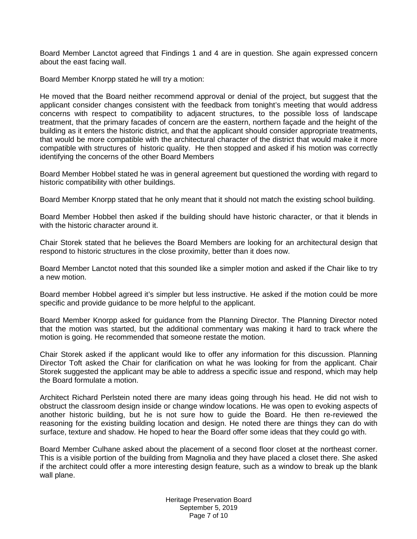Board Member Lanctot agreed that Findings 1 and 4 are in question. She again expressed concern about the east facing wall.

Board Member Knorpp stated he will try a motion:

He moved that the Board neither recommend approval or denial of the project, but suggest that the applicant consider changes consistent with the feedback from tonight's meeting that would address concerns with respect to compatibility to adjacent structures, to the possible loss of landscape treatment, that the primary facades of concern are the eastern, northern façade and the height of the building as it enters the historic district, and that the applicant should consider appropriate treatments, that would be more compatible with the architectural character of the district that would make it more compatible with structures of historic quality. He then stopped and asked if his motion was correctly identifying the concerns of the other Board Members

Board Member Hobbel stated he was in general agreement but questioned the wording with regard to historic compatibility with other buildings.

Board Member Knorpp stated that he only meant that it should not match the existing school building.

Board Member Hobbel then asked if the building should have historic character, or that it blends in with the historic character around it.

Chair Storek stated that he believes the Board Members are looking for an architectural design that respond to historic structures in the close proximity, better than it does now.

Board Member Lanctot noted that this sounded like a simpler motion and asked if the Chair like to try a new motion.

Board member Hobbel agreed it's simpler but less instructive. He asked if the motion could be more specific and provide guidance to be more helpful to the applicant.

Board Member Knorpp asked for guidance from the Planning Director. The Planning Director noted that the motion was started, but the additional commentary was making it hard to track where the motion is going. He recommended that someone restate the motion.

Chair Storek asked if the applicant would like to offer any information for this discussion. Planning Director Toft asked the Chair for clarification on what he was looking for from the applicant. Chair Storek suggested the applicant may be able to address a specific issue and respond, which may help the Board formulate a motion.

Architect Richard Perlstein noted there are many ideas going through his head. He did not wish to obstruct the classroom design inside or change window locations. He was open to evoking aspects of another historic building, but he is not sure how to guide the Board. He then re-reviewed the reasoning for the existing building location and design. He noted there are things they can do with surface, texture and shadow. He hoped to hear the Board offer some ideas that they could go with.

Board Member Culhane asked about the placement of a second floor closet at the northeast corner. This is a visible portion of the building from Magnolia and they have placed a closet there. She asked if the architect could offer a more interesting design feature, such as a window to break up the blank wall plane.

> Heritage Preservation Board September 5, 2019 Page 7 of 10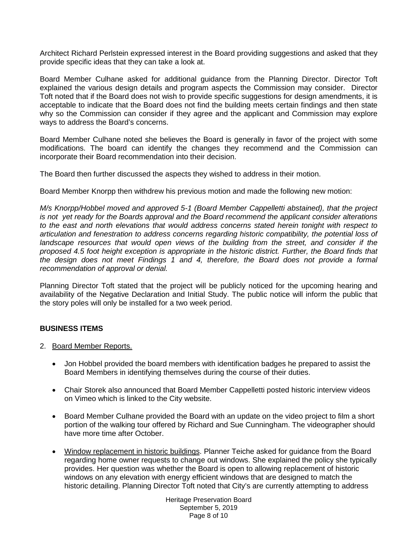Architect Richard Perlstein expressed interest in the Board providing suggestions and asked that they provide specific ideas that they can take a look at.

Board Member Culhane asked for additional guidance from the Planning Director. Director Toft explained the various design details and program aspects the Commission may consider. Director Toft noted that if the Board does not wish to provide specific suggestions for design amendments, it is acceptable to indicate that the Board does not find the building meets certain findings and then state why so the Commission can consider if they agree and the applicant and Commission may explore ways to address the Board's concerns.

Board Member Culhane noted she believes the Board is generally in favor of the project with some modifications. The board can identify the changes they recommend and the Commission can incorporate their Board recommendation into their decision.

The Board then further discussed the aspects they wished to address in their motion.

Board Member Knorpp then withdrew his previous motion and made the following new motion:

*M/s Knorpp/Hobbel moved and approved 5-1 (Board Member Cappelletti abstained), that the project is not yet ready for the Boards approval and the Board recommend the applicant consider alterations to the east and north elevations that would address concerns stated herein tonight with respect to articulation and fenestration to address concerns regarding historic compatibility, the potential loss of*  landscape resources that would open views of the building from the street, and consider if the *proposed 4.5 foot height exception is appropriate in the historic district. Further, the Board finds that the design does not meet Findings 1 and 4, therefore, the Board does not provide a formal recommendation of approval or denial.*

Planning Director Toft stated that the project will be publicly noticed for the upcoming hearing and availability of the Negative Declaration and Initial Study. The public notice will inform the public that the story poles will only be installed for a two week period.

# **BUSINESS ITEMS**

- 2. Board Member Reports.
	- Jon Hobbel provided the board members with identification badges he prepared to assist the Board Members in identifying themselves during the course of their duties.
	- Chair Storek also announced that Board Member Cappelletti posted historic interview videos on Vimeo which is linked to the City website.
	- Board Member Culhane provided the Board with an update on the video project to film a short portion of the walking tour offered by Richard and Sue Cunningham. The videographer should have more time after October.
	- Window replacement in historic buildings. Planner Teiche asked for guidance from the Board regarding home owner requests to change out windows. She explained the policy she typically provides. Her question was whether the Board is open to allowing replacement of historic windows on any elevation with energy efficient windows that are designed to match the historic detailing. Planning Director Toft noted that City's are currently attempting to address

Heritage Preservation Board September 5, 2019 Page 8 of 10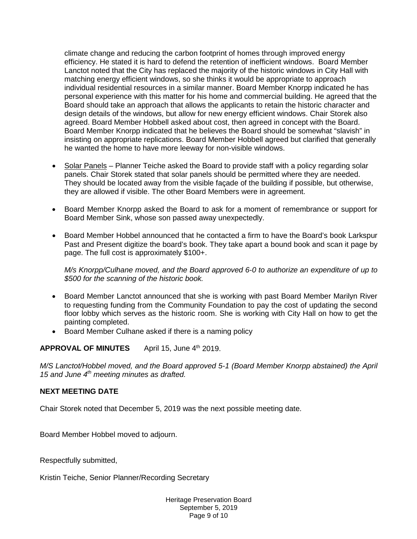climate change and reducing the carbon footprint of homes through improved energy efficiency. He stated it is hard to defend the retention of inefficient windows. Board Member Lanctot noted that the City has replaced the majority of the historic windows in City Hall with matching energy efficient windows, so she thinks it would be appropriate to approach individual residential resources in a similar manner. Board Member Knorpp indicated he has personal experience with this matter for his home and commercial building. He agreed that the Board should take an approach that allows the applicants to retain the historic character and design details of the windows, but allow for new energy efficient windows. Chair Storek also agreed. Board Member Hobbell asked about cost, then agreed in concept with the Board. Board Member Knorpp indicated that he believes the Board should be somewhat "slavish" in insisting on appropriate replications. Board Member Hobbell agreed but clarified that generally he wanted the home to have more leeway for non-visible windows.

- Solar Panels Planner Teiche asked the Board to provide staff with a policy regarding solar panels. Chair Storek stated that solar panels should be permitted where they are needed. They should be located away from the visible façade of the building if possible, but otherwise, they are allowed if visible. The other Board Members were in agreement.
- Board Member Knorpp asked the Board to ask for a moment of remembrance or support for Board Member Sink, whose son passed away unexpectedly.
- Board Member Hobbel announced that he contacted a firm to have the Board's book Larkspur Past and Present digitize the board's book. They take apart a bound book and scan it page by page. The full cost is approximately \$100+.

*M/s Knorpp/Culhane moved, and the Board approved 6-0 to authorize an expenditure of up to \$500 for the scanning of the historic book.* 

- Board Member Lanctot announced that she is working with past Board Member Marilyn River to requesting funding from the Community Foundation to pay the cost of updating the second floor lobby which serves as the historic room. She is working with City Hall on how to get the painting completed.
- Board Member Culhane asked if there is a naming policy

APPROVAL OF MINUTES April 15, June 4<sup>th</sup> 2019.

*M/S Lanctot/Hobbel moved, and the Board approved 5-1 (Board Member Knorpp abstained) the April 15 and June 4th meeting minutes as drafted.* 

# **NEXT MEETING DATE**

Chair Storek noted that December 5, 2019 was the next possible meeting date.

Board Member Hobbel moved to adjourn.

Respectfully submitted,

Kristin Teiche, Senior Planner/Recording Secretary

Heritage Preservation Board September 5, 2019 Page 9 of 10